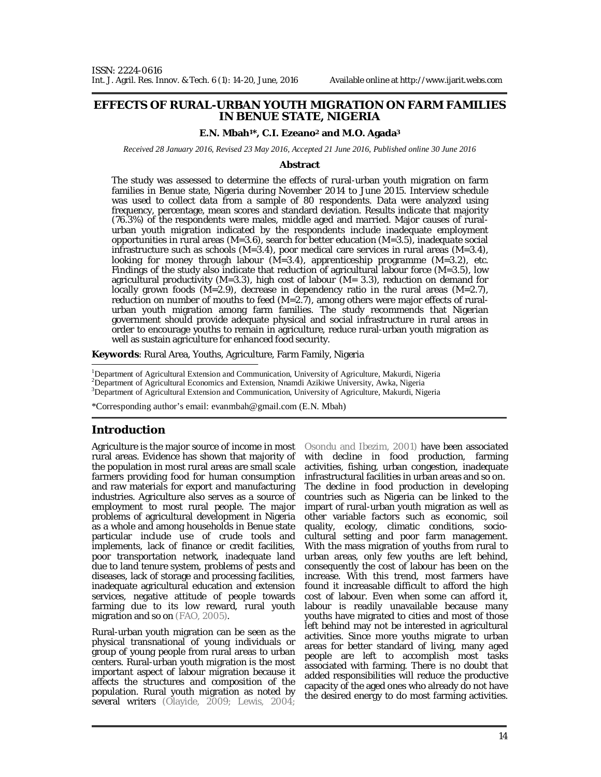# **EFFECTS OF RURAL-URBAN YOUTH MIGRATION ON FARM FAMILIES IN BENUE STATE, NIGERIA**

#### **E.N. Mbah1\*, C.I. Ezeano<sup>2</sup> and M.O. Agada<sup>3</sup>**

*Received 28 January 2016, Revised 23 May 2016, Accepted 21 June 2016, Published online 30 June 2016* 

#### **Abstract**

The study was assessed to determine the effects of rural-urban youth migration on farm families in Benue state, Nigeria during November 2014 to June 2015. Interview schedule was used to collect data from a sample of 80 respondents. Data were analyzed using frequency, percentage, mean scores and standard deviation. Results indicate that majority (76.3%) of the respondents were males, middle aged and married. Major causes of ruralurban youth migration indicated by the respondents include inadequate employment opportunities in rural areas ( $M=3.6$ ), search for better education ( $M=3.5$ ), inadequate social infrastructure such as schools (M=3.4), poor medical care services in rural areas (M=3.4), looking for money through labour  $(M=3.4)$ , apprenticeship programme  $(M=3.2)$ , etc. Findings of the study also indicate that reduction of agricultural labour force (M=3.5), low agricultural productivity (M=3.3), high cost of labour (M= 3.3), reduction on demand for locally grown foods (M=2.9), decrease in dependency ratio in the rural areas (M=2.7), reduction on number of mouths to feed  $(M=2.7)$ , among others were major effects of ruralurban youth migration among farm families. The study recommends that Nigerian government should provide adequate physical and social infrastructure in rural areas in order to encourage youths to remain in agriculture, reduce rural-urban youth migration as well as sustain agriculture for enhanced food security.

**Keywords**: Rural Area, Youths, Agriculture, Farm Family, Nigeria

<sup>1</sup>Department of Agricultural Extension and Communication, University of Agriculture, Makurdi, Nigeria <sup>2</sup>Department of Agricultural Economics and Extension, Nnamdi Azikiwe University, Awka, Nigeria <sup>3</sup>Department of Agricultural Extension and Communication, University of Agriculture, Makurdi, Nigeria

\*Corresponding author's email: evanmbah@gmail.com (E.N. Mbah)

# **Introduction**

Agriculture is the major source of income in most rural areas. Evidence has shown that majority of the population in most rural areas are small scale farmers providing food for human consumption and raw materials for export and manufacturing industries. Agriculture also serves as a source of employment to most rural people. The major problems of agricultural development in Nigeria as a whole and among households in Benue state particular include use of crude tools and implements, lack of finance or credit facilities, poor transportation network, inadequate land due to land tenure system, problems of pests and diseases, lack of storage and processing facilities, inadequate agricultural education and extension services, negative attitude of people towards farming due to its low reward, rural youth migration and so on (FAO, 2005).

Rural-urban youth migration can be seen as the physical transnational of young individuals or group of young people from rural areas to urban centers. Rural-urban youth migration is the most important aspect of labour migration because it affects the structures and composition of the population. Rural youth migration as noted by several writers (Olayide, 2009; Lewis, 2004;

Osondu and Ibezim, 2001) have been associated with decline in food production, farming activities, fishing, urban congestion, inadequate infrastructural facilities in urban areas and so on. The decline in food production in developing countries such as Nigeria can be linked to the impart of rural-urban youth migration as well as other variable factors such as economic, soil quality, ecology, climatic conditions, sociocultural setting and poor farm management. With the mass migration of youths from rural to urban areas, only few youths are left behind, consequently the cost of labour has been on the increase. With this trend, most farmers have found it increasable difficult to afford the high cost of labour. Even when some can afford it, labour is readily unavailable because many youths have migrated to cities and most of those left behind may not be interested in agricultural activities. Since more youths migrate to urban areas for better standard of living, many aged people are left to accomplish most tasks associated with farming. There is no doubt that added responsibilities will reduce the productive capacity of the aged ones who already do not have the desired energy to do most farming activities.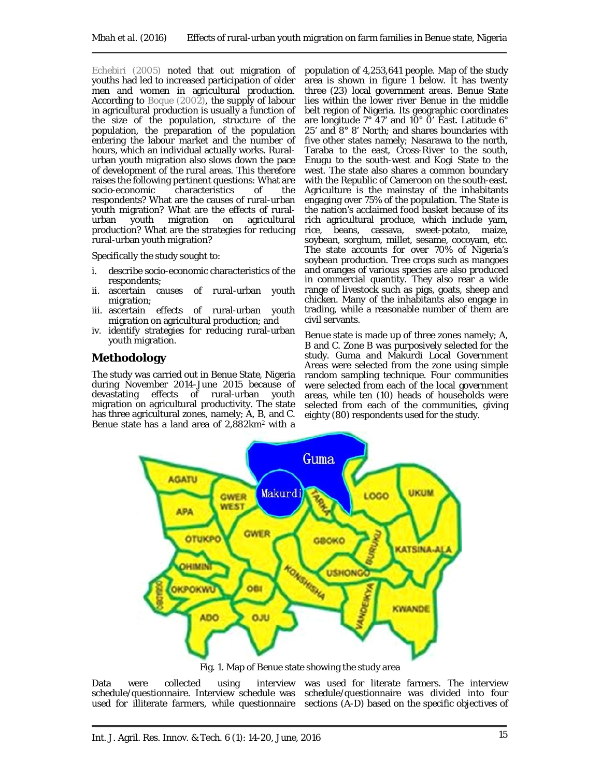Echebiri (2005) noted that out migration of youths had led to increased participation of older men and women in agricultural production. According to Boque (2002), the supply of labour in agricultural production is usually a function of the size of the population, structure of the population, the preparation of the population entering the labour market and the number of hours, which an individual actually works. Ruralurban youth migration also slows down the pace of development of the rural areas. This therefore raises the following pertinent questions: What are<br>socio-economic characteristics of the socio-economic characteristics of the respondents? What are the causes of rural-urban youth migration? What are the effects of rural-<br>urban vouth migration on agricultural urban youth migration on agricultural production? What are the strategies for reducing rural-urban youth migration?

Specifically the study sought to:

- i. describe socio-economic characteristics of the respondents;
- ii. ascertain causes of rural-urban youth migration;
- iii. ascertain effects of rural-urban youth migration on agricultural production; and
- iv. identify strategies for reducing rural-urban youth migration.

# **Methodology**

The study was carried out in Benue State, Nigeria during November 2014-June 2015 because of devastating effects of rural-urban youth migration on agricultural productivity. The state has three agricultural zones, namely; A, B, and C. Benue state has a land area of 2,882km<sup>2</sup> with a

population of 4,253,641 people. Map of the study area is shown in figure 1 below. It has twenty three (23) local government areas. Benue State lies within the lower river Benue in the middle belt region of Nigeria. Its geographic coordinates are longitude 7° 47' and 10° 0' East. Latitude 6° 25' and 8° 8' North; and shares boundaries with five other states namely; Nasarawa to the north, Taraba to the east, Cross-River to the south, Enugu to the south-west and Kogi State to the west. The state also shares a common boundary with the Republic of Cameroon on the south-east. Agriculture is the mainstay of the inhabitants engaging over 75% of the population. The State is the nation's acclaimed food basket because of its rich agricultural produce, which include yam, rice, beans, cassava, sweet-potato, maize, soybean, sorghum, millet, sesame, cocoyam, etc. The state accounts for over 70% of Nigeria's soybean production. Tree crops such as mangoes and oranges of various species are also produced in commercial quantity. They also rear a wide range of livestock such as pigs, goats, sheep and chicken. Many of the inhabitants also engage in trading, while a reasonable number of them are civil servants.

Benue state is made up of three zones namely; A, B and C. Zone B was purposively selected for the study. Guma and Makurdi Local Government Areas were selected from the zone using simple random sampling technique. Four communities were selected from each of the local government areas, while ten (10) heads of households were selected from each of the communities, giving eighty (80) respondents used for the study.



Fig. 1. Map of Benue state showing the study area

Data were collected using interview was used for literate farmers. The interview schedule/questionnaire. Interview schedule was schedule/questionnaire was divided into four used for illiterate farmers, while questionnaire sections (A-D) based on the specific objectives of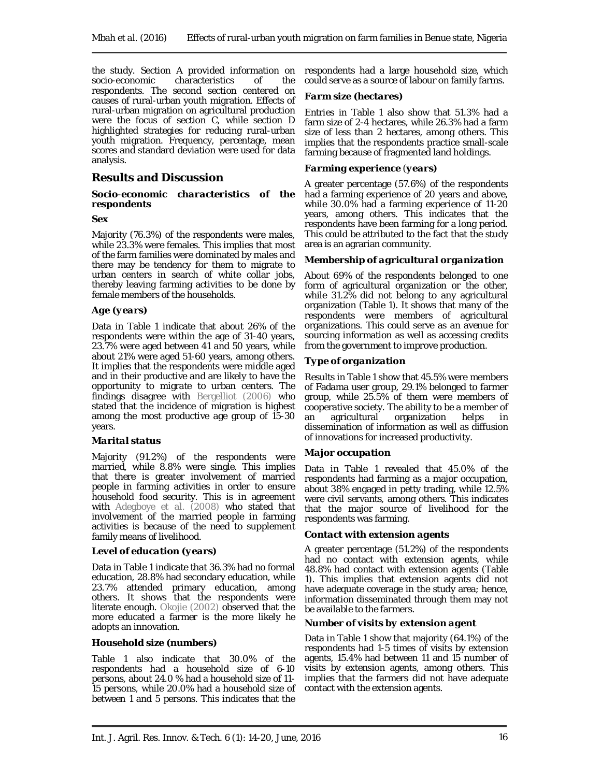the study. Section A provided information on socio-economic characteristics of the socio-economic respondents. The second section centered on causes of rural-urban youth migration. Effects of rural-urban migration on agricultural production were the focus of section C, while section D highlighted strategies for reducing rural-urban youth migration. Frequency, percentage, mean scores and standard deviation were used for data analysis.

# **Results and Discussion**

#### *Socio-economic characteristics of the respondents*

#### *Sex*

Majority (76.3%) of the respondents were males, while 23.3% were females. This implies that most of the farm families were dominated by males and there may be tendency for them to migrate to urban centers in search of white collar jobs, thereby leaving farming activities to be done by female members of the households.

# *Age (years)*

Data in Table 1 indicate that about 26% of the respondents were within the age of 31-40 years, 23.7% were aged between 41 and 50 years, while about 21% were aged 51-60 years, among others. It implies that the respondents were middle aged and in their productive and are likely to have the opportunity to migrate to urban centers. The findings disagree with Bergelliot (2006) who stated that the incidence of migration is highest among the most productive age group of 15-30 years.

#### *Marital status*

Majority (91.2%) of the respondents were married, while 8.8% were single. This implies that there is greater involvement of married people in farming activities in order to ensure household food security. This is in agreement with Adegboye *et al.* (2008) who stated that involvement of the married people in farming activities is because of the need to supplement family means of livelihood.

#### *Level of education (years)*

Data in Table 1 indicate that 36.3% had no formal education, 28.8% had secondary education, while 23.7% attended primary education, among others. It shows that the respondents were literate enough. Okojie (2002) observed that the more educated a farmer is the more likely he adopts an innovation.

#### *Household size (numbers)*

Table 1 also indicate that 30.0% of the respondents had a household size of 6-10 persons, about 24.0 % had a household size of 11- 15 persons, while 20.0% had a household size of between 1 and 5 persons. This indicates that the

respondents had a large household size, which could serve as a source of labour on family farms.

# *Farm size (hectares)*

Entries in Table 1 also show that 51.3% had a farm size of 2-4 hectares, while 26.3% had a farm size of less than 2 hectares, among others. This implies that the respondents practice small-scale farming because of fragmented land holdings.

## *Farming experience (years)*

A greater percentage (57.6%) of the respondents had a farming experience of 20 years and above, while 30.0% had a farming experience of 11-20 years, among others. This indicates that the respondents have been farming for a long period. This could be attributed to the fact that the study area is an agrarian community.

#### *Membership of agricultural organization*

About 69% of the respondents belonged to one form of agricultural organization or the other, while 31.2% did not belong to any agricultural organization (Table 1). It shows that many of the respondents were members of agricultural organizations. This could serve as an avenue for sourcing information as well as accessing credits from the government to improve production.

# *Type of organization*

Results in Table 1 show that 45.5% were members of Fadama user group, 29.1% belonged to farmer group, while 25.5% of them were members of cooperative society. The ability to be a member of an agricultural organization helps in dissemination of information as well as diffusion of innovations for increased productivity.

#### *Major occupation*

Data in Table 1 revealed that 45.0% of the respondents had farming as a major occupation, about 38% engaged in petty trading, while 12.5% were civil servants, among others. This indicates that the major source of livelihood for the respondents was farming.

#### *Contact with extension agents*

A greater percentage (51.2%) of the respondents had no contact with extension agents, while 48.8% had contact with extension agents (Table 1). This implies that extension agents did not have adequate coverage in the study area; hence, information disseminated through them may not be available to the farmers.

#### *Number of visits by extension agent*

Data in Table 1 show that majority (64.1%) of the respondents had 1-5 times of visits by extension agents, 15.4% had between 11 and 15 number of visits by extension agents, among others. This implies that the farmers did not have adequate contact with the extension agents.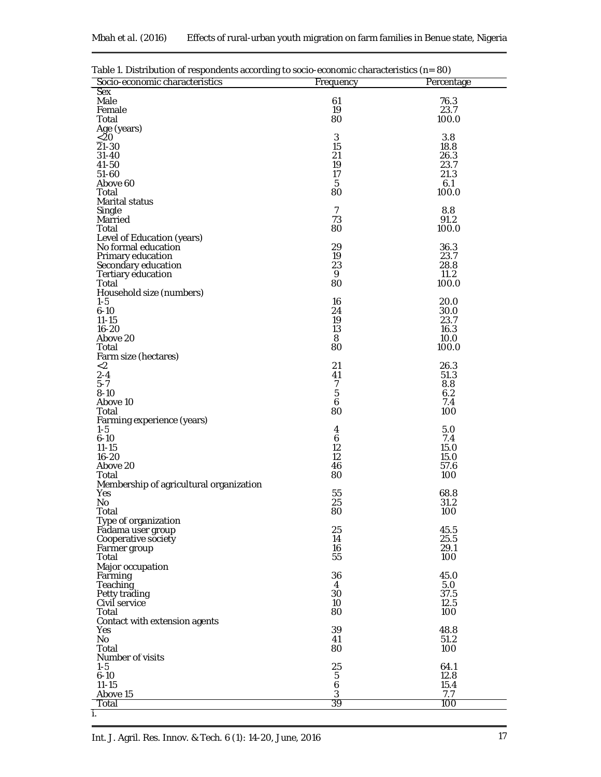| Table T. Distribution of respondents according to socio-economic characteristics (h= 80) |                       |               |
|------------------------------------------------------------------------------------------|-----------------------|---------------|
| Socio-economic characteristics<br>Sex                                                    | Frequency             | Percentage    |
| Male                                                                                     | 61                    | 76.3          |
| Female                                                                                   | 19                    | 23.7          |
| Total                                                                                    | 80                    | 100.0         |
| Age (years)                                                                              |                       |               |
| $<$ 20                                                                                   | 3                     | 3.8           |
| $\overline{2}$ 1-30<br>$31 - 40$                                                         | 15<br>21              | 18.8<br>26.3  |
| 41-50                                                                                    | 19                    | 23.7          |
| $51 - 60$                                                                                | 17                    | 21.3          |
| Above 60                                                                                 | 5                     | 6.1           |
| Total                                                                                    | 80                    | 100.0         |
| Marital status                                                                           |                       |               |
| Single                                                                                   | $\overline{7}$        | 8.8           |
| Married<br>Total                                                                         | 73<br>80              | 91.2<br>100.0 |
| Level of Education (years)                                                               |                       |               |
| No formal education                                                                      | 29                    | 36.3          |
| Primary education                                                                        | 19                    | 23.7          |
| Secondary education                                                                      | 23                    | 28.8          |
| Tertiary education                                                                       | 9                     | 11.2          |
| Total                                                                                    | 80                    | 100.0         |
| Household size (numbers)                                                                 |                       |               |
| 1-5<br>$6 - 10$                                                                          | 16<br>24              | 20.0<br>30.0  |
| $11 - 15$                                                                                | 19                    | 23.7          |
| $16 - 20$                                                                                | 13                    | 16.3          |
| Above 20                                                                                 | 8                     | 10.0          |
| Total                                                                                    | 80                    | 100.0         |
| Farm size (hectares)                                                                     |                       |               |
| ${<}2$                                                                                   | 21                    | 26.3          |
| $2 - 4$<br>$5 - 7$                                                                       | 41<br>$\overline{7}$  | 51.3<br>8.8   |
| $8 - 10$                                                                                 | 5                     | 6.2           |
| Above 10                                                                                 | 6                     | 7.4           |
| Total                                                                                    | 80                    | 100           |
| Farming experience (years)                                                               |                       |               |
| $1-5$                                                                                    | 4                     | 5.0           |
| $6 - 10$                                                                                 | 6                     | 7.4           |
| $11 - 15$<br>$16 - 20$                                                                   | 12<br>12              | 15.0<br>15.0  |
| Above 20                                                                                 | 46                    | 57.6          |
| Total                                                                                    | 80                    | 100           |
| Membership of agricultural organization                                                  |                       |               |
| Yes                                                                                      | 55                    | 68.8          |
| No                                                                                       | 25                    | 31.2          |
| Total                                                                                    | 80                    | 100           |
| Type of organization<br>Fadama user group                                                | 25                    | 45.5          |
| Cooperative society                                                                      | 14                    | 25.5          |
| Farmer group                                                                             | 16                    | 29.1          |
| Total                                                                                    | 55                    | 100           |
| Major occupation                                                                         |                       |               |
| Farming                                                                                  | 36                    | 45.0          |
| Teaching                                                                                 | 4                     | 5.0           |
| Petty trading<br>Civil service                                                           | 30<br>10 <sup>°</sup> | 37.5<br>12.5  |
| Total                                                                                    | 80                    | 100           |
| Contact with extension agents                                                            |                       |               |
| Yes                                                                                      | 39                    | 48.8          |
| No                                                                                       | 41                    | 51.2          |
| Total                                                                                    | 80                    | 100           |
| Number of visits                                                                         |                       |               |
| $1 - 5$<br>$6 - 10$                                                                      | 25<br>5               | 64.1<br>12.8  |
| $11 - 15$                                                                                | 6                     | 15.4          |
| Above 15                                                                                 | $\sqrt{3}$            | 7.7           |
| Total                                                                                    | 39                    | 100           |
|                                                                                          |                       |               |

Table 1. Distribution of respondents according to socio-economic characteristics (n= 80)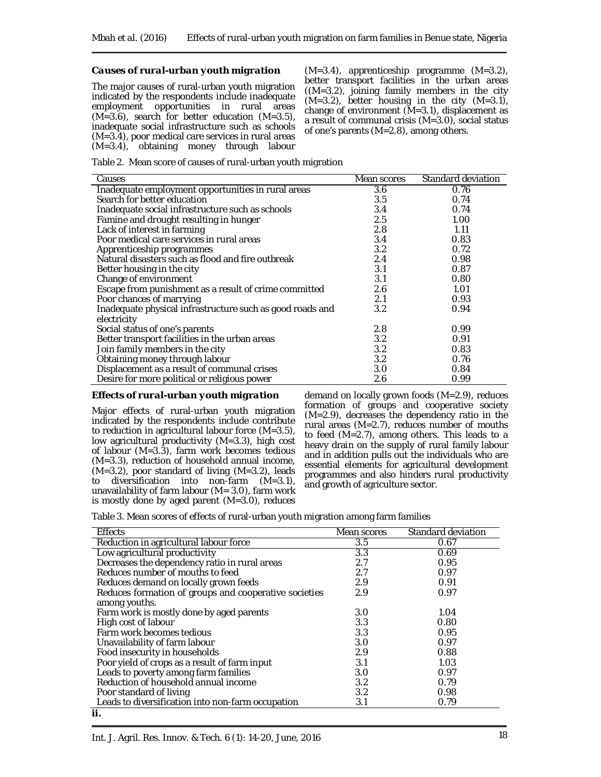#### *Causes of rural-urban youth migration*

The major causes of rural-urban youth migration indicated by the respondents include inadequate employment opportunities in rural areas  $(M=3.6)$ , search for better education  $(M=3.5)$ , inadequate social infrastructure such as schools (M=3.4), poor medical care services in rural areas (M=3.4), obtaining money through labour

(M=3.4), apprenticeship programme (M=3.2), better transport facilities in the urban areas ((M=3.2), joining family members in the city  $(M=3.2)$ , better housing in the city  $(M=3.1)$ , change of environment (M=3.1), displacement as a result of communal crisis (M=3.0), social status of one's parents (M=2.8), among others.

Table 2. Mean score of causes of rural-urban youth migration

| Causes                                                    | Mean scores   | Standard deviation |
|-----------------------------------------------------------|---------------|--------------------|
| Inadequate employment opportunities in rural areas        | 3.6           | 0.76               |
| Search for better education                               | 3.5           | 0.74               |
| Inadequate social infrastructure such as schools          | 3.4           | 0.74               |
| Famine and drought resulting in hunger                    | 2.5           | 1.00               |
| Lack of interest in farming                               | 2.8           | 1.11               |
| Poor medical care services in rural areas                 | 3.4           | 0.83               |
| Apprenticeship programmes                                 | $3.2^{\circ}$ | 0.72               |
| Natural disasters such as flood and fire outbreak         | 2.4           | 0.98               |
| Better housing in the city                                | 3.1           | 0.87               |
| Change of environment                                     | 3.1           | 0.80               |
| Escape from punishment as a result of crime committed     | 2.6           | 1.01               |
| Poor chances of marrying                                  | 2.1           | 0.93               |
| Inadequate physical infrastructure such as good roads and | 3.2           | 0.94               |
| electricity                                               |               |                    |
| Social status of one's parents                            | 2.8           | 0.99               |
| Better transport facilities in the urban areas            | $3.2^{\circ}$ | 0.91               |
| Join family members in the city                           | 3.2           | 0.83               |
| Obtaining money through labour                            | 3.2           | 0.76               |
| Displacement as a result of communal crises               | 3.0           | 0.84               |
| Desire for more political or religious power              | 2.6           | 0.99               |

#### *Effects of rural-urban youth migration*

Major effects of rural-urban youth migration indicated by the respondents include contribute to reduction in agricultural labour force (M=3.5), low agricultural productivity (M=3.3), high cost of labour (M=3.3), farm work becomes tedious (M=3.3), reduction of household annual income, (M=3.2), poor standard of living (M=3.2), leads to diversification into non-farm (M=3.1), unavailability of farm labour ( $M = 3.0$ ), farm work is mostly done by aged parent (M=3.0), reduces

demand on locally grown foods (M=2.9), reduces formation of groups and cooperative society (M=2.9), decreases the dependency ratio in the rural areas (M=2.7), reduces number of mouths to feed (M=2.7), among others. This leads to a heavy drain on the supply of rural family labour and in addition pulls out the individuals who are essential elements for agricultural development programmes and also hinders rural productivity and growth of agriculture sector.

Table 3. Mean scores of effects of rural-urban youth migration among farm families

| <b>Effects</b>                                        | Mean scores | Standard deviation |
|-------------------------------------------------------|-------------|--------------------|
| Reduction in agricultural labour force                | 3.5         | 0.67               |
| Low agricultural productivity                         | 3.3         | 0.69               |
| Decreases the dependency ratio in rural areas         | 2.7         | 0.95               |
| Reduces number of mouths to feed                      | 2.7         | 0.97               |
| Reduces demand on locally grown feeds                 | 2.9         | 0.91               |
| Reduces formation of groups and cooperative societies | 2.9         | 0.97               |
| among youths.                                         |             |                    |
| Farm work is mostly done by aged parents              | 3.0         | 1.04               |
| High cost of labour                                   | 3.3         | 0.80               |
| Farm work becomes tedious                             | 3.3         | 0.95               |
| Unavailability of farm labour                         | 3.0         | 0.97               |
| Food insecurity in households                         | 2.9         | 0.88               |
| Poor yield of crops as a result of farm input         | 3.1         | 1.03               |
| Leads to poverty among farm families                  | 3.0         | 0.97               |
| Reduction of household annual income                  | 3.2         | 0.79               |
| Poor standard of living                               | 3.2         | 0.98               |
| Leads to diversification into non-farm occupation     | 3.1         | 0.79               |
| ii.                                                   |             |                    |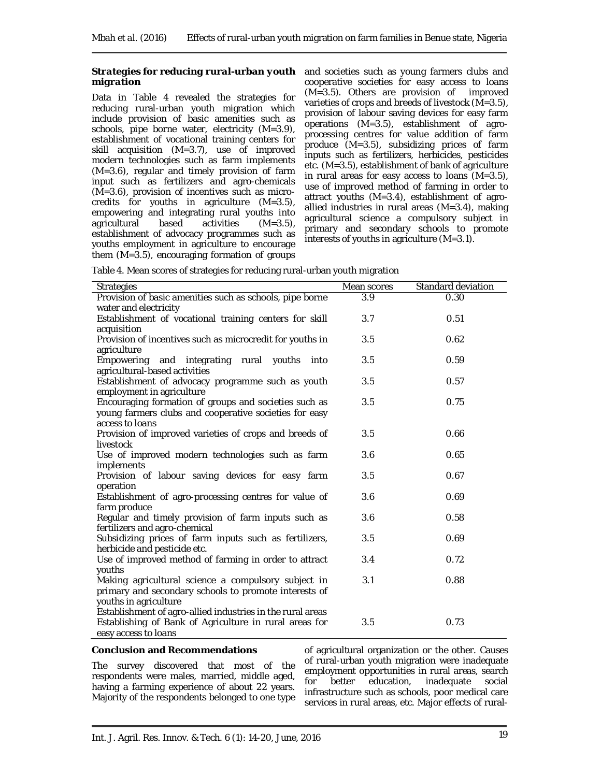## *Strategies for reducing rural-urban youth migration*

Data in Table 4 revealed the strategies for reducing rural-urban youth migration which include provision of basic amenities such as schools, pipe borne water, electricity (M=3.9), establishment of vocational training centers for skill acquisition (M=3.7), use of improved modern technologies such as farm implements (M=3.6), regular and timely provision of farm input such as fertilizers and agro-chemicals (M=3.6), provision of incentives such as microcredits for youths in agriculture (M=3.5), empowering and integrating rural youths into agricultural based activities (M=3.5), establishment of advocacy programmes such as youths employment in agriculture to encourage them (M=3.5), encouraging formation of groups

and societies such as young farmers clubs and cooperative societies for easy access to loans (M=3.5). Others are provision of improved varieties of crops and breeds of livestock (M=3.5), provision of labour saving devices for easy farm operations (M=3.5), establishment of agroprocessing centres for value addition of farm produce (M=3.5), subsidizing prices of farm inputs such as fertilizers, herbicides, pesticides etc. (M=3.5), establishment of bank of agriculture in rural areas for easy access to loans (M=3.5), use of improved method of farming in order to attract youths (M=3.4), establishment of agroallied industries in rural areas (M=3.4), making agricultural science a compulsory subject in primary and secondary schools to promote interests of youths in agriculture (M=3.1).

| <b>Strategies</b>                                                   | Mean scores | Standard deviation |
|---------------------------------------------------------------------|-------------|--------------------|
| Provision of basic amenities such as schools, pipe borne            | 3.9         | 0.30               |
| water and electricity                                               |             |                    |
| Establishment of vocational training centers for skill              | 3.7         | 0.51               |
| acquisition                                                         |             |                    |
| Provision of incentives such as microcredit for youths in           | 3.5         | 0.62               |
| agriculture                                                         |             |                    |
| Empowering and integrating rural youths<br>into                     | 3.5         | 0.59               |
| agricultural-based activities                                       |             |                    |
| Establishment of advocacy programme such as youth                   | 3.5         | 0.57               |
| employment in agriculture                                           |             |                    |
| Encouraging formation of groups and societies such as               | 3.5         | 0.75               |
| young farmers clubs and cooperative societies for easy              |             |                    |
| access to loans                                                     | 3.5         | 0.66               |
| Provision of improved varieties of crops and breeds of<br>livestock |             |                    |
| Use of improved modern technologies such as farm                    | 3.6         | 0.65               |
| implements                                                          |             |                    |
| Provision of labour saving devices for easy farm                    | 3.5         | 0.67               |
| operation                                                           |             |                    |
| Establishment of agro-processing centres for value of               | 3.6         | 0.69               |
| farm produce                                                        |             |                    |
| Regular and timely provision of farm inputs such as                 | 3.6         | 0.58               |
| fertilizers and agro-chemical                                       |             |                    |
| Subsidizing prices of farm inputs such as fertilizers,              | 3.5         | 0.69               |
| herbicide and pesticide etc.                                        |             |                    |
| Use of improved method of farming in order to attract               | 3.4         | 0.72               |
| youths                                                              |             |                    |
| Making agricultural science a compulsory subject in                 | 3.1         | 0.88               |
| primary and secondary schools to promote interests of               |             |                    |
| youths in agriculture                                               |             |                    |
| Establishment of agro-allied industries in the rural areas          |             |                    |
| Establishing of Bank of Agriculture in rural areas for              | 3.5         | 0.73               |
| easy access to loans                                                |             |                    |

#### **Conclusion and Recommendations**

The survey discovered that most of the respondents were males, married, middle aged, having a farming experience of about 22 years. Majority of the respondents belonged to one type of agricultural organization or the other. Causes of rural-urban youth migration were inadequate employment opportunities in rural areas, search for better education, inadequate social infrastructure such as schools, poor medical care services in rural areas, etc. Major effects of rural